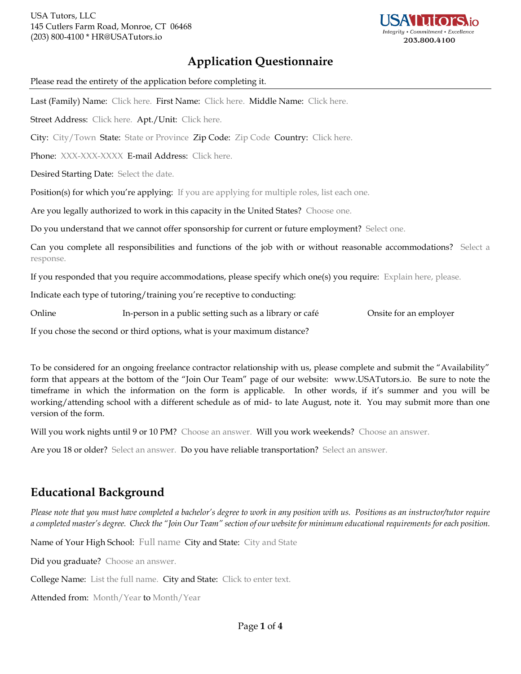

# **Application Questionnaire**

Please read the entirety of the application before completing it. Last (Family) Name: Click here. First Name: Click here. Middle Name: Click here. Street Address: Click here. Apt./Unit: Click here. City: City/Town State: State or Province Zip Code: Zip Code Country: Click here. Phone: XXX-XXX-XXXX E-mail Address: Click here. Desired Starting Date: Select the date. Position(s) for which you're applying: If you are applying for multiple roles, list each one. Are you legally authorized to work in this capacity in the United States? Choose one. Do you understand that we cannot offer sponsorship for current or future employment? Select one. Can you complete all responsibilities and functions of the job with or without reasonable accommodations? Select a response. If you responded that you require accommodations, please specify which one(s) you require: Explain here, please. Indicate each type of tutoring/training you're receptive to conducting: Online In-person in a public setting such as a library or café Onsite for an employer If you chose the second or third options, what is your maximum distance?

To be considered for an ongoing freelance contractor relationship with us, please complete and submit the "Availability" form that appears at the bottom of the "Join Our Team" page of our website: www.USATutors.io. Be sure to note the timeframe in which the information on the form is applicable. In other words, if it's summer and you will be working/attending school with a different schedule as of mid- to late August, note it. You may submit more than one version of the form.

Will you work nights until 9 or 10 PM? Choose an answer. Will you work weekends? Choose an answer.

Are you 18 or older? Select an answer. Do you have reliable transportation? Select an answer.

# **Educational Background**

*Please note that you must have completed a bachelor's degree to work in any position with us. Positions as an instructor/tutor require a completed master's degree. Check the "Join Our Team" section of our website for minimum educational requirements for each position.*

Name of Your High School: Full name City and State: City and State

Did you graduate? Choose an answer.

College Name: List the full name. City and State: Click to enter text.

Attended from: Month/Year to Month/Year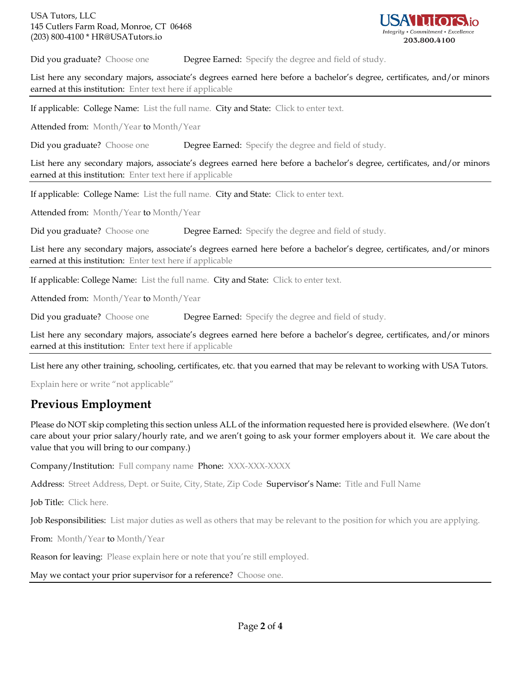

Did you graduate? Choose one Degree Earned: Specify the degree and field of study.

List here any secondary majors, associate's degrees earned here before a bachelor's degree, certificates, and/or minors earned at this institution: Enter text here if applicable

If applicable: College Name: List the full name. City and State: Click to enter text.

Attended from: Month/Year to Month/Year

Did you graduate? Choose one **Degree Earned:** Specify the degree and field of study.

List here any secondary majors, associate's degrees earned here before a bachelor's degree, certificates, and/or minors earned at this institution: Enter text here if applicable

If applicable: College Name: List the full name. City and State: Click to enter text.

Attended from: Month/Year to Month/Year

Did you graduate? Choose one Degree Earned: Specify the degree and field of study.

List here any secondary majors, associate's degrees earned here before a bachelor's degree, certificates, and/or minors earned at this institution: Enter text here if applicable

If applicable: College Name: List the full name. City and State: Click to enter text.

Attended from: Month/Year to Month/Year

Did you graduate? Choose one **Degree Earned:** Specify the degree and field of study.

List here any secondary majors, associate's degrees earned here before a bachelor's degree, certificates, and/or minors earned at this institution: Enter text here if applicable

List here any other training, schooling, certificates, etc. that you earned that may be relevant to working with USA Tutors.

Explain here or write "not applicable"

### **Previous Employment**

Please do NOT skip completing this section unless ALL of the information requested here is provided elsewhere. (We don't care about your prior salary/hourly rate, and we aren't going to ask your former employers about it. We care about the value that you will bring to our company.)

Company/Institution: Full company name Phone: XXX-XXX-XXXX

Address: Street Address, Dept. or Suite, City, State, Zip Code Supervisor's Name: Title and Full Name

Job Title: Click here.

Job Responsibilities: List major duties as well as others that may be relevant to the position for which you are applying.

From: Month/Year to Month/Year

Reason for leaving: Please explain here or note that you're still employed.

May we contact your prior supervisor for a reference? Choose one.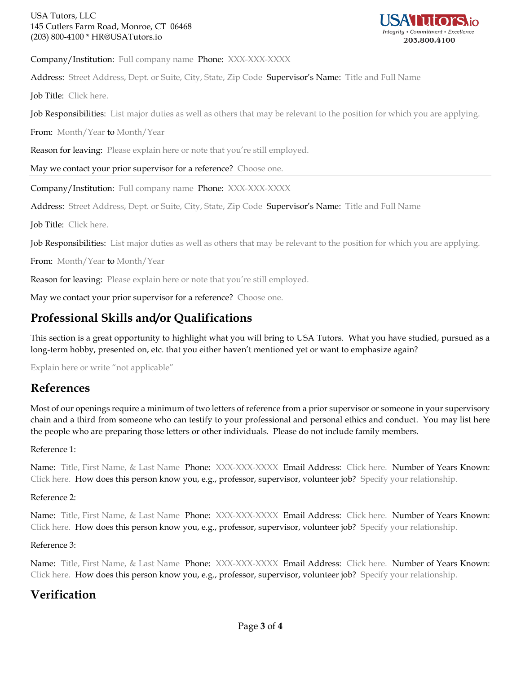#### USA Tutors, LLC 145 Cutlers Farm Road, Monroe, CT 06468 (203) 800-4100 \* HR@USATutors.io



Company/Institution: Full company name Phone: XXX-XXX-XXXX

Address: Street Address, Dept. or Suite, City, State, Zip Code Supervisor's Name: Title and Full Name

Job Title: Click here.

Job Responsibilities: List major duties as well as others that may be relevant to the position for which you are applying.

From: Month/Year to Month/Year

Reason for leaving: Please explain here or note that you're still employed.

May we contact your prior supervisor for a reference? Choose one.

Company/Institution: Full company name Phone: XXX-XXX-XXXX

Address: Street Address, Dept. or Suite, City, State, Zip Code Supervisor's Name: Title and Full Name

Job Title: Click here.

Job Responsibilities: List major duties as well as others that may be relevant to the position for which you are applying.

From: Month/Year to Month/Year

Reason for leaving: Please explain here or note that you're still employed.

May we contact your prior supervisor for a reference? Choose one.

## **Professional Skills and/or Qualifications**

This section is a great opportunity to highlight what you will bring to USA Tutors. What you have studied, pursued as a long-term hobby, presented on, etc. that you either haven't mentioned yet or want to emphasize again?

Explain here or write "not applicable"

### **References**

Most of our openings require a minimum of two letters of reference from a prior supervisor or someone in your supervisory chain and a third from someone who can testify to your professional and personal ethics and conduct. You may list here the people who are preparing those letters or other individuals. Please do not include family members.

### Reference 1:

Name: Title, First Name, & Last Name Phone: XXX-XXX-XXXX Email Address: Click here. Number of Years Known: Click here. How does this person know you, e.g., professor, supervisor, volunteer job? Specify your relationship.

### Reference 2:

Name: Title, First Name, & Last Name Phone: XXX-XXX-XXXX Email Address: Click here. Number of Years Known: Click here. How does this person know you, e.g., professor, supervisor, volunteer job? Specify your relationship.

### Reference 3:

Name: Title, First Name, & Last Name Phone: XXX-XXX-XXXX Email Address: Click here. Number of Years Known: Click here. How does this person know you, e.g., professor, supervisor, volunteer job? Specify your relationship.

### **Verification**